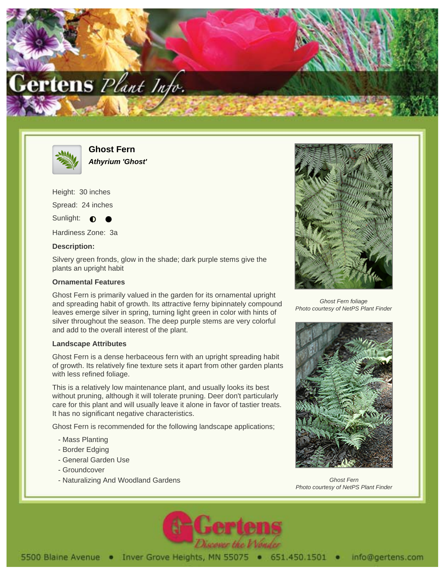



**Ghost Fern Athyrium 'Ghost'**

Height: 30 inches

Spread: 24 inches

Sunlight:  $\bullet$ 

Hardiness Zone: 3a

## **Description:**

Silvery green fronds, glow in the shade; dark purple stems give the plants an upright habit

## **Ornamental Features**

Ghost Fern is primarily valued in the garden for its ornamental upright and spreading habit of growth. Its attractive ferny bipinnately compound leaves emerge silver in spring, turning light green in color with hints of silver throughout the season. The deep purple stems are very colorful and add to the overall interest of the plant.

## **Landscape Attributes**

Ghost Fern is a dense herbaceous fern with an upright spreading habit of growth. Its relatively fine texture sets it apart from other garden plants with less refined foliage.

This is a relatively low maintenance plant, and usually looks its best without pruning, although it will tolerate pruning. Deer don't particularly care for this plant and will usually leave it alone in favor of tastier treats. It has no significant negative characteristics.

Ghost Fern is recommended for the following landscape applications;

- Mass Planting
- Border Edging
- General Garden Use
- Groundcover
- Naturalizing And Woodland Gardens



Ghost Fern foliage Photo courtesy of NetPS Plant Finder



Ghost Fern Photo courtesy of NetPS Plant Finder